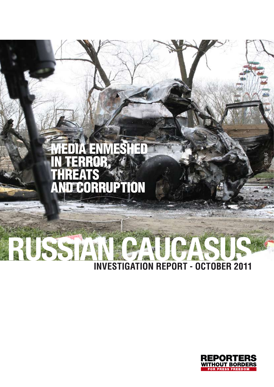

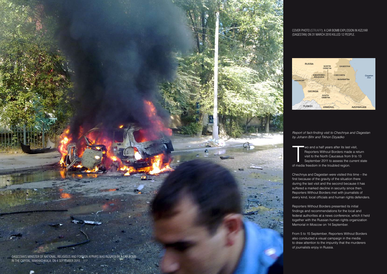////////////////////////////////////////// Russian CAUCASus : Report of fact-finding visit to Chechnya and Dagestan 3



Dagestan's minister of national, religious and foreign affairs was injured by a car bomb in the capital, Makhachkala, on 4 September 2010. - AFP

Wo and a half years after its last<br>
Reporters Without Borders made<br>
visit to the North Caucasus from<br>
September 2011 to assess the c<br>
of media freedom in the troubled region. wo and a half years after its last visit, Reporters Without Borders made a return visit to the North Caucasus from 9 to 13 September 2011 to assess the current state

Chechnya and Dagestan were visited this time – the first because of the gravity of the situation there during the last visit and the second because it has suffered a marked decline in security since then. Reporters Without Borders met with journalists of every kind, local officials and human rights defenders.

#### Cover photo (STR/AFP): A car bomb explosion in Kizlyar (Dagestan) on 31 March 2010 killed 12 people.

Reporters Without Borders presented its initial findings and recommendations for the local and federal authorities at a news conference, which it held together with the Russian human rights organization Memorial in Moscow on 14 September.

From 5 to 15 September, Reporters Without Borders also conducted a visual campaign in the media to draw attention to the impunity that the murderers of journalists enjoy in Russia.

*Report of fact-finding visit to Chechnya and Dagestan by Johann Bihr and Tikhon Dzyadko*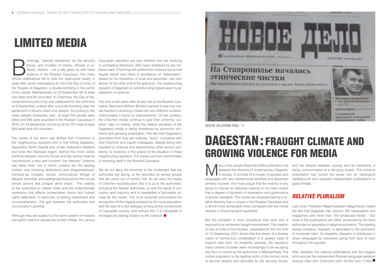ombings, "special operations" by the security forces, and murders of imams, officials or ordinary citizens – not a day goes by with more violence in the Russian Caucasus. The many official celebrations fail to hide the des forces, and murders of imams, officials or ordinary citizens – not a day goes by with more violence in the Russian Caucasus. The many official celebrations fail to hide the destructive reality. A based on the imposition of cruel and autocratic rule from week after lavish celebrations for the First Day of Unity of the Peoples of Dagestan, a double bombing in the centre of the capital, Makhachkala, on 22 September left at least one dead and 60 wounded. In Chechnya, the Day of National Harmony and Unity was celebrated for the ninth time on 6 September, a week after a suicide bombing near the parliament in Grozny killed nine people. According to the news website *Kavkazsky Uzel* , at least 754 people were killed and 956 were wounded in the Russian Caucasus in 2010. On 14 September, the toll so far for 2011 was at least 593 dead and 414 wounded.

Caucasian republics are very different and are evolving in contrasting directions. After been shattered by two fullblown wars, Chechnya still suffers from violence but is now largely rebuilt and offers a semblance of "stabilization" above. At the other end of the spectrum, the neighbouring republic of Dagestan is currently being ripped apart by an explosion of violence.

The centre of the storm has shifted from Chechnya to the neighbouring republics and is now hitting Dagestan, Ingushetia, North Ossetia and, of late, Kabardino-Balkaria and even the Stavropol region. Behind the more visible conflicts between security forces and the various Islamist insurrections, a less well-covered "low intensity" violence has taken hold, one in which civilians are the leading victims, one involving abductions and disappearances, trumped-up charges, torture, extra-judicial killings of alleged "terrorists" and widespread impunity for the corrupt armed sectors that prosper amid chaos . The inability of the authorities to restore order and the indiscriminate repression that affects conservative clerics and human rights defenders, in particular, is fuelling resentment and incomprehension. The gulf between the authorities and civil society is growing.

We do not deny the enormity of the challenges that the authorities are facing, or the atrocities by armed groups that are partly out of control. Nor do we deny the reality of Chechen reconstruction. But it is up to the authorities, including the federal authorities, to end the spiral of corruption and impunity and to reestablish a favourable climate for the media. This is an essential precondition for recognition of the tragedy endured by the local population and the start of a real dialogue among all the components of Caucasian society. And without this, it is imposable to envisage any lasting solution to the violence.



Although they are subject to the same system of massive corruption linked to abuses by armed militias, the various

Many of the people Reporters Without Borders met<br>
in society. It consists of a mosaic of peoples and<br>
languages with your marked local identities and disnarced stressed the diversity of contemporary Dagesta-Ini society. It consists of a mosaic of peoples and languages with very marked local identities and dispersed centres of power. And many argue that the inability of any group to impose an absolute majority on its rivals means that a degree of pluralism of expression and governance is almost inevitable. The media are characterized by a relative diversity that is unique in the Russian Caucasus and is all the more remarkable when compared with the media deserts in Chechnya and Ingushetia. and the divorce between society and its institutions is being consummated at a dizzying speed. This extreme polarization has turned the press into an ideological battleground and exposed independent publications to grave threats. Relative pluralism Last June, President Magomedsalam Magomedov hailed the fact that Dagestan has "around 180 newspapers and

Two and a half years after its last visit to the Russian Caucasus, Reporters Without Borders wanted to see how media freedom is evolving in these two very different contexts. Unfortunately it found no improvements. On the contrary, the Chechen media continue to give their uniformly "positive" take on events, while the relative pluralism of the Dagestani media is being threatened by economic problems and growing polarization. The fact that Dagestan's journalists think they are relatively "lucky" compared with their Chechen and Ingush colleagues, despite being very exposed to violence and experiencing other serious problems, is evidence of the gravity of the situation in these neighbouring republics. The lowest common denominator is imposing itself in the Russian Caucasus.

# DAGESTAN: FRAUGHT CLIMATE AND growing violence for media

But this pluralism is more precarious than ever and is exposed to an extremely fraught environment. The creation of Day of Unity of the Peoples, celebrated for the first time on 15 September 2011, shows that the dream of a diverse nation of harmonious cohabitation is in greater need of support than ever. As instability spreads, the republic's many centres of power seem increasingly to be escaping any form of control by the authorities in Makhachkala. The civilian population is the leading victim of the vicious circle of terrorist attacks and atrocities by the security forces, authorities or specialize in religious education. The leading media company, *Assalam*, is dedicated to the promotion of moderate Islam. Its biweekly, *Assalam*, is distributed in seven languages by volunteers going from door to door throughout the republic. After *Assalam*, the national publications with the biggest print runs are the independent Russian-language weeklies *Novoye Delo* and *Chernovik* (with 23,000 and 17,000 >

magazines and more than 100 broadcast media ." But most of the publications are either produced by the local



*Novoye Delo* front page - dr

# Limited media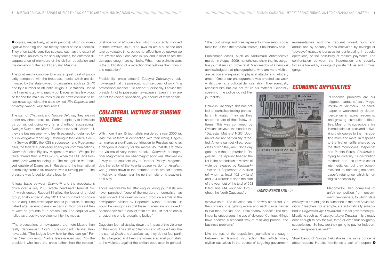**D** copies, respectively, at peak periods), which do investigative reporting and are readily critical of the authorities. They often tackle sensitive subjects such as the extent of corruption, abuses by the security forces, the enforced disappearance of members of the civilian population and the demands of the republic's Salafi Muslims.

The print media continue to enjoy a great deal of popularity compared with the broadcast media, which are dominated by the state-owned broadcasters such as *GTRK* and by a number of influential religious TV stations. Use of the Internet is growing rapidly but Dagestan has few blogs so far and the main sources of online news continue to be two news agencies, the state-owned *RIA Dagestan* and privately-owned *Dagestan Times*.

The staff of *Chernovik* and *Novoye Delo* say they are not under any direct pressure. "Some people try to intimidate us but without going very far and without succeeding," *Novoye Delo* editor Marco Shakhbanov said. "Above all, they are businessmen who feel threatened or defamed by our investigative reporting." Referring to the Federal Security Service (FSB), the KGB's successor, and Roskomnadzor, the federal supervisory agency for communications, *Chernovik* editor Biyakay Magomedov said: "We get far fewer threats than in 2008-2009, when the FSB and Roskomnadzor were hounding us. The recognition we received outside of Dagestan, in Russia and the international community, from 2010 onwards was a turning point . The pressure was forced to take a legal form."

## Collateral victims of surging *VIOLENCE*

A legal battle between *Chernovik* and the prosecutor's office over a July 2008 article headlined "Terrorist No. 1," which quoted Rappani Khalilov, the leader of a rebel group, finally ended in May 2011. The court had no choice but to acquit the newspaper and its journalists of inciting hatred after federal forensic experts in Moscow said there were no grounds for a prosecution. The acquittal was hailed as a positive development by the media.

"The court rulings and fines represent a more serious obstacle for us than the physical threats," Shakhbanov said. Emblematic cases, such as Abdulmalik Akhmedilov's representatives and the frequent violent raids and abductions by security forces motivated by revenge or "boyevye" (sizeable bonuses for participating in special operations) or the possibility of ransom payments. The confrontation between the insurrection and security forces is fuelled by a range of private militias and criminal gangs.

"The prosecutions of newspapers are more bizarre than really dangerous," *Dosh* correspondent Natalia Krainova said. "The judges know how far they can go." Former *Chernovik* editor Nadira Isayeva even said: "It's the president who fears the press rather than the reverse." Shakhbanov of *Novoye Delo*, which is currently involved in three lawsuits, said: "The lawsuits are a nuisance and take up valuable time, but do not affect how outspoken we are. We win about one case in two, and in most cases, the damages sought are symbolic. What most plaintiffs want is the publication of a retraction that restores their honour and reputation."

Presidential press attaché Zubayru Zubayruyev acknowledged that the prosecutor's office does not work "in a professional manner." He added: "Personally, I advise the president not to prosecute newspapers. Even if they are part of the radical opposition, you should let them speak."

> Like the rest of the population, journalists are caught between an Islamist insurrection that inflicts many civilian casualties in the course of targeting government Shakhbanov of *Novoye Delo* shares the same concerns about readers. He also mentioned a lack of indepen-

With more than 15 journalists murdered since 2000 (at least five of them in connection with their work), Dagestan makes a significant contribution to Russia's rating as a dangerous country for the media. Journalists are often the victims of very violent attacks. *Chernovik* photographer Magomedsalam Khanmagomedov was attacked on 2 May in the southern city of Derbent. Yakhya Magomedov, the editor of the Avar-language version of *Assalam*, was gunned down at the entrance to his brother's home in Kokrek, a village near the northern city of Khasavyurt, on 9 May.

Those responsible for attacking or killing journalists are never punished. None of the murders of journalists has been solved. The question would produce a smile in the newspapers visited by Reporters Without Borders. "It would be wrong to say that these murders are not solved," Shakhbanov said. "Most of them are. It's just that no one is arrested, no one is brought to justice."

Dagestani journalists play down the impact of this violence on their work. The staff at *Chernovik* and *Novoye Delo*, like the staff at *Dosh* and *Assalam*, say they do not feel particularly targeted and liken the violence against journalists to the violence against the civilian population in general.

murder in August 2009, nonetheless show that investigative journalism can prove fatal. Magomedov of *Chernovik* acknowledged that photographers, who are more visible, are particularly exposed to physical attacks and arbitrary arrest. "One of our photographers was arrested last week while covering a political demonstration. They eventually released him but did not return his material. Generally

speaking, the police do not like journalists."

Unlike in Chechnya, this has not led to journalists feeling particularly intimidated. They say they share the fate of their fellow citizens. This was confirmed by Svetlana Isayeva, the head of the "Dagestan Mothers" NGO: "Journalists are not particularly targeted. Anyone can get killed, regardless of who they are." Not a day goes by without a murder in Dagestan. The republic headed the list in the breakdown of victims of violence released by *Kavkazsky Uzel* on 14 September: 315 killed (of whom at least 102 civilians) and 224 wounded since the start of the year (out of the total of 593 killed and 414 wounded throughout the North Caucasus) .

«Едрят» по осени считают]

## Economic difficulties



Isayeva said: "The situation has in no way stabilized. On the contrary, it is getting worse and each day is harder to live than the last one." Shakhbanov added: "The total impunity encourages the use of violence. Contract killings have become a standard way of resolving political and business problems." employees are obliged to subscribe in the best Soviet tradition. "Teachers, for example, are automatically subscribed to *Dagestanskaya Pravda* and to local government publications such as *Khasavyurtskaya Druzhba*. It is already dear enough to pay for two, three or even four obligatory subscriptions. So how are they going to pay for independent newspapers as well?"

"Economic problems are our biggest headache," said Magomedov of *Chernovik*. The newspaper is weakened by dependence on an aging readership and growing distribution difficulties. Most of its subscribers live in mountainous areas and delivering their copies to them is costing more and more. In response to the higher tariffs charged by the state monopolies Rospechat and Pochta Rossy, *Chernovik* is trying to diversify its distribution methods and use private-sector intermediaries, but they sometimes end up increasing the newspaper's retail price, which is hurting its accessibility.

Magomedov also complains of unfair competition from government newspapers, to which state

*Chernovik* front page - dr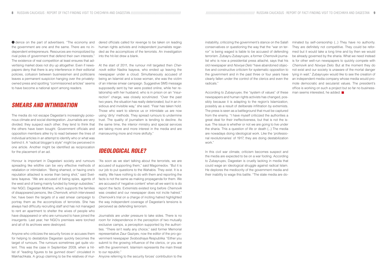**D** dence on the part of advertisers. "The economy and the government are one and the same. There are no independent entrepreneurs. Resources are monopolized by rival poles of government that defend their own interests." The existence of real competition at least ensures that advertising market does not dry up altogether. Even if newspapers deny that there is any interference in their editorial policies, collusion between businessmen and politicians leaves a permanent suspicion hanging over the privatelyowned press and spotting "commissioned articles" seems to have become a national sport among readers.

### Smears and intimidation

Anyone who criticizes the security forces or accuses them for helping to destabilize Dagestan quickly becomes the target of rumours. The rumours sometimes get quite violent. This was the case in September 2009, when a hitlist of "leading figures to be gunned down" circulated in Makhachkala. A group claiming to be the relatives of mur-

The media do not escape Dagestan's increasingly poisonous climate and social disintegration. Journalists are very divided; they suspect each other; they tend to think that the others have been bought. Government officials and opposition members alike try to read between the lines of individual articles in an attempt to identify who or what was behind it. A "radical blogger's style" might be perceived in one article. Another might be identified as reciprocation for the placement of an ad.

Honour is important in Dagestani society and rumours spreading like wildfire can be very effective methods of retaliation or intimidation. "Being shamed, or having one's reputation attacked is worse than being shot," said Svetlana Isayeva. "We are accused of being spies, agents of the west and of being mainly funded by foreign subsidies." Her NGO, Dagestan Mothers, which supports the families of disappeared persons, like *Chernovik*, which interviewed her, have been the targets of a vast smear campaign to portray them as the accomplices of terrorists. She has always had difficulty recruiting staff and has not managed to rent an apartment to shelter the wives of people who have disappeared or who are rumoured to have joined the insurgents. Last year, her NGO's premises were torched and all of its archives were destroyed.

dered officials called for revenge to be taken on leading human rights activists and independent journalists regarded as the accomplices of the terrorists. An investigation into the hit-list drew a blank.

At the start of 2011, the rumour mill targeted then *Chernovik* editor Nadira Isayeva, who ended up leaving the newspaper under a cloud. Simultaneously accused of being an Islamist and a loose woman, she was the victim of an intense smear campaign. Suggestive SMS message supposedly sent by her were posted online, while her relationship with her husband, who is in prison on an "insurrection" charge, was closely scrutinized. "Over the past two years, the situation has really deteriorated, but in an insidious and invisible way," she said. "Fear has taken hold. Those who want to silence us or intimidate us are now using 'dirty' methods. They spread rumours to undermine trust. The quality of journalism is tending to decline. As the same time, the interior ministry and special services are taking more and more interest in the media and are manoeuvring more and more skilfully."

## Ideological role?

"As soon as we start talking about the terrorists, we are accused of supporting them," said Magomedov. "But it is our job to put questions to the Wahabis. They exist. It is a reality. We have nothing to do with them and reporting the facts is not the same as making propaganda for them. We are accused of 'negative content' when all we want to is do report the facts. Extremists existed long before *Chernovik* was created and our newspaper does not incite hatred." *Chernovik*'s trial on a charge of inciting hatred highlighted the way independent coverage of Dagestan's tensions is perceived as defending terrorism.

Journalists are under pressure to take sides. There is no room for independence in the perception of two mutually exclusive camps, a perception supported by the authorities. "There isn't really any choice," said former Memorial representative Zaur Gaziyev, now the editor of the pro-government newspaper *Svobodnaya Respublika*. "Either you submit to the growing influence of the clerics, or you are with the government. Islamism represents the main threat to our republic."

Anyone referring to the security forces' contribution to the

newspapers and human rights activists has changed, possibly because it is adapting to the region's Islamization, possibly as a result of deliberate infiltration by extremists. The press is seen as a battleground that must be captured from the enemy. "I have myself criticized the authorities a great deal for their ineffectiveness, but that is not the issue. The issue is whether or not we are going to live under the sharia. This a question of life or death (...) The media are nowadays doing ideological work. Like the 'professional revolutionaries' of 1917, they are doing destabilization work."

instability, criticizing the government's stance on the Salafi conservatives or questioning the way that the "war on terror" is being waged is liable to be accused of defending terrorism. Zubayru Zubayruyev, a former *Chernovik* journalist who is now a presidential press attaché, says that his old newspaper and *Novoye Delo* "have abandoned objective and constructive criticism for systematic opposition to the government and in the past three or four years have clearly fallen under the control of the clerics and even the radicals." According to Zubayruyev, the "system of values" of these minated by self-censorship (...) They have no authority. They are definitely not competitive. They could be reformed but it would take a long time and by then we would be already governed by the sharia. What we need instead is for other well-run newspapers to quickly compete with *Chernovik* and *Novoye Delo*. But at the moment they do not exist and our society is unaware of the mortal danger lying in wait." Zubayruyev would like to see the creation of an independent media company whose media would promote democratic and secularist values. The president's office is working on such a project but so far no businessman seems interested, he added.

In this civil war climate, criticism becomes suspect and the media are expected to be on a war footing. According to Zubayruyev, Dagestan is cruelly lacking in media that could wage an ideological struggle against radical Islam. He deplores the mediocrity of the government media and their inability to wage this battle. "The state media are do-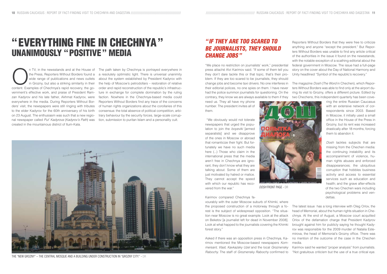In TV, in the newsstands and at the House of the Press, Reporters Without Borders found a wide range of publications and news outlets in Grozny, but also a striking similarity in their content. Examples of Chechnya's rapid the Press, Reporters Without Borders found a wide range of publications and news outlets in Grozny, but also a striking similarity in their vernment's effective work, and praise of President Ramzan Kadyrov and his late father, Akhmat Kadyrov, were everywhere in the media. During Reporters Without Borders' visit, the newspapers were still ringing with tributes to the elder Kadyrov for the 60th anniversary of his birth on 23 August. The enthusiasm was such that a new regional newspaper called *Put' Kadyrova* (*Kadyrov's Path*) was created in the mountainous district of Itum-Kala.

The path taken by Chechnya is portrayed everywhere in a resolutely optimistic light. There is universal unanimity about the system established by President Kadyrov with the help of Moscow's petrodollars – restoration of relative order and rapid reconstruction of the republic's infrastructure in exchange for complete domination by the ruling faction. Nowhere in the Chechnya-based media could Reporters Without Borders find any trace of the concerns of human rights organizations about the corollaries of this consensus: the total absence of political competition, arbitrary behaviour by the security forces, large-scale corruption, submission to puritan Islam and a personality cult.

need us. They all have my phone number. The president invites all of them.

 "We obviously would not tolerate newspapers that urged the population to join the *boyeviki* [armed separatists] and we disapprove of the ones in Moscow or abroad that romanticize their fight. But fortunately we have no such media here (...) Those who claim in the international press that the media aren't free in Chechnya are ignorant, they don't know what they are talking about. Some of them are just motivated by hatred or malice. They cannot accept the speed with which our republic has recovered from the war."

# " If they are too scared to be journalists, they should **CHANGE JOBS**"

Karimov compared Chechnya fa-

"We place no restriction on journalists' work," presidential press attaché Alvi Karimov said. "If some of them tell you they don't dare tackle this or that topic, that's their problem. If they are too scared to be journalists, they should change jobs and become taxi drivers. No one interferes in their editorial polices, no one spies on them. I have never had the police summon journalists for questioning. On the contrary, they know we are always available to them if they federal government in Moscow. The issue had a full-page story on the cover about the Day of National Harmony and Unity headlined "Symbol of the republic's recovery." The magazine *Dosh* (*The Word* in Chechen), which Reporters Without Borders was able to find only at the airport during its visit to Grozny, offers a different picture. Edited by two Chechens, this independent quarterly has been cove-

Reporters Without Borders that they were free to criticize anything and anyone "except the president." But Reporters Without Borders was unable to find any article critical of the authorities in the issue it found on the newsstands, with the notable exception of a scathing editorial about the

vourably with the outer Moscow suburb of Khimki, where the proposed construction of a motorway through a forest is the subject of widespread opposition. "The situation near Moscow is no great example. Look at the attack on Beketov [a journalist left for dead in November 2008]. Look at what happed to the journalists covering the Khimki forest story." Asked if there was an opposition press in Chechnya, Karimov mentioned the Moscow-based newspapers *Kom-*The latest issue has a long interview with Oleg Orlov, the head of Memorial, about the human rights situation in Chechnya. At the end of August, a Moscow court acquitted Orlov of the defamation charge that President Kadyrov brought against him for publicly saying he thought Kadyrov was responsible for the 2009 murder of Natalia Estemirova, the head of Memorial's Grozny office. There was no mention of the outcome of the case in the Chechen media.

ring the entire Russian Caucasus with an extensive network of correspondents since 2003. Based in Moscow, it initially used a small office in the House of the Press in Grozny, but its rent was increased drastically after 18 months, forcing them to abandon it.

*mersant*, *Vlast*, *Kavkazsky Uzel* and the local *Groznensky Rabochy*. The staff of *Groznensky Rabochy* confirmed to Karimov said he wanted "proper analysis" from journalists. "Not gratuitous criticism but the use of a true critical eye.

*Dosh* tackles subjects that are missing from the Chechen media: the continuing instability and its accompaniment of violence, human rights abuses and enforced disappearances; the ubiquitous corruption that hobbles business activity and access to essential services such as education and health; and the grave after-effects of the two Chechen wars including psychological problems and vendettas.



The "New Grozny" – the central mosque and a building under construction in "Grozny City." - dr



*Dosh* front page - DR

# " Everything fine in Chechnya" unanimously "positive" media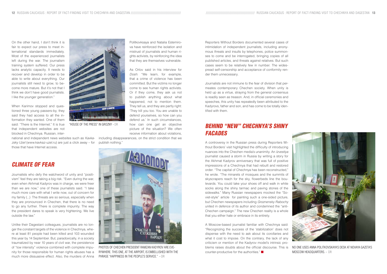Reporters Without Borders documented several cases of intimidation of independent journalists, including anonymous threats and insults by telephones, police summonses to come and be interrogated, bringing copies of all published articles, and threats against relatives. But such cases seem to be relatively few in number. The widespread self-censorship and acceptance of conformity render them unnecessary.

## Behind "new" Chechnya's shiny **FACADES**

Journalists are not immune to the fear of division that permeates contemporary Chechen society. When unity is held up as a virtue, straying from the general consensus is readily seen as treason. And, in official ceremonies and speeches, this unity has repeatedly been attributed to the Kadyrovs, father and son, and has come to be totally identified with them.

A controversy in the Russian press during Reporters Without Borders' visit highlighted the difficulty of introducing nuances into the Chechen media's unanimity. An *Izvestiya* journalist caused a storm in Russia by writing a story for the Akhmat Kadyrov anniversary that was full of positive impressions of a Chechnya that had rebuilt and restored order. "The capital of Chechnya has been reconstructed," he wrote. "The minarets of mosques and the summits of skyscrapers reach for the sky, flowerbeds line the boulevards. You could take your shoes off and walk in white socks along the shiny tarmac and paving stones of the sidewalks." Many Russian newspapers mocked the "Soviet-style" article for painting such a one-sided picture, but Chechen newspapers including *Groznensky Rabochy* united in defence of its author and condemned the "anti-Chechen campaign." The new Chechen reality is a whole that you either hate or embrace in its entirety.

On the other hand, I don't think it is fair to expect our press to meet international standards immediately. Most of the experienced journalists left during the war. The journalism training system suffered. Our press lacks analytic capacity. It needs to recover and develop in order to be able to write about everything. Our journalists still need to grow, to become more mature. But it's not that I think we don't have good journalists. I like the younger generation."

When Karimov stopped and questioned three young passers-by, they said they had access to all the information they wanted. One of them said: "There is the Internet." It is true that independent websites are not blocked in Chechnya. Russian, inter-

national and independent news websites such as *Kavkazsky Uzel* (www.kavkaz-uzel.ru) are just a click away – for those that have Internet access.

### Climate of fear

Journalists who defy the watchword of unity and "positivism" feel they are taking a big risk. "Even during the war, even when Akhmat Kadyrov was in charge, we were freer than we are now," one of these journalists said. "I take much more care with what I write now, out of concern for my family (...) The threats are so serious, especially when they are pronounced in Chechen, that there is no need to go any further. There is complete impunity. The way the president dares to speak is very frightening. We live outside the law."

> A Moscow-based journalist familiar with Chechnya said: "Recognizing the success of the 'stabilization' does not dispense with the need to ask about its corollaries and what it cost to impose. On the contrary, the lack of any criticism or mention of the Kadyrov model's intrinsic problems raises doubts about the official discourse. This is counter-productive for the authorities." No one uses Anna Politkovskaya's desk at Novaya Gazeta's Moscow headquarters. - dr

Unlike their Dagestani colleagues, journalists are no longer the constant targets of the violence in Chechnya, where at least 81 people had been killed and 103 wounded this year by 14 September. But, paradoxically, in a society traumatized by near 10 years of civil war, the persistence of "low intensity" violence combined with complete impunity for those responsible for human rights abuses has a much more dissuasive effect. Also, the murders of Anna



Politkovksaya and Natalia Estemirova have reinforced the isolation and mistrust of journalists and human rights activists, by reinforcing the idea that they are themselves vulnerable.

As Orlov said in his interview for *Dosh*: "We learn, for example, that a crime of violence has been committed. But the victims no longer come to see human rights activists. Or if they come, they ask us not to publish anything about what happened, not to mention them. They tell us, and they are partly right: 'They kill you too. You are unable to defend yourselves, so how can you defend us.' In such circumstances, how can one get an objective picture of the situation? We often receive information about violations,

including disappearances, on the strict condition that we publish nothing."



"House of the Press" in Grozny - DR



Photos of Chechen President Ramzan Kadyrov are everywhere. This one, at the airport, is embellished with the phrase "Happiness in the people's service." - dr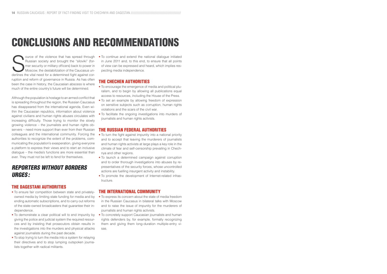Source of the violence that has spread through<br>Russian society and brought the "siloviki" (for-<br>mer security or military officers) back to power in<br>Moscow, the destabilization of the Caucasus un-<br>derlines the vital need fo ource of the violence that has spread through Russian society and brought the "siloviki" (former security or military officers) back to power in Moscow, the destabilization of the Caucasus unruption and reform of governance in Russia. As has often been the case in history, the Caucasian abscess is where much of the entire country's future will be determined.

Although the population is hostage to an armed conflict that is spreading throughout the region, the Russian Caucasus has disappeared from the international agenda. Even within the Caucasian republics, information about violence against civilians and human rights abuses circulates with increasing difficulty. Those trying to monitor the slowly growing violence – the journalists and human rights observers – need more support than ever from their Russian colleagues and the international community. Forcing the authorities to recognize the extent of the problems, communicating the population's exasperation, giving everyone a platform to express their views and to start an inclusive dialogue – the media's functions are more essential than ever. They must not be left to fend for themselves.

# Reporters Without Borders urges:

#### The Dagestani authorities

- To turn the fight against impunity into a national priority and to accept that leaving the murderers of journalists and human rights activists at large plays a key role in the climate of fear and self-censorship prevailing in Chechnya and other regions.
- To launch a determined campaign against corruption and to order thorough investigations into abuses by representatives of the security forces, whose uncontrolled actions are fuelling insurgent activity and instability.
- To promote the development of Internet-related infrastructure.

- To ensure fair competition between state and privatelyowned media by limiting state funding for media and by ending automatic subscriptions, and to carry out reforms of the state-owned broadcasters that guarantee their independence.
- To demonstrate a clear political will to end impunity by giving the police and judicial system the required resources and by insisting that prosecutors obtain results in the investigations into the murders and physical attacks against journalists during the past decade.
- To stop trying to turn the media into a system for relaying their directives and to stop lumping outspoken journalists together with radical militants.

• To continue and extend the national dialogue initiated in June 2011 and, to this end, to ensure that all points of view can be expressed and heard, which implies respecting media independence.

#### The Chechen authorities

- To encourage the emergence of media and political pluralism, and to begin by allowing all publications equal access to resources, including the House of the Press.
- To set an example by allowing freedom of expression on sensitive subjects such as corruption, human rights violations and the scars of the civil war.
- To facilitate the ongoing investigations into murders of journalists and human rights activists.

#### The Russian federal authorities

#### The international community

- To express its concern about the state of media freedom in the Russian Caucasus in bilateral talks with Moscow and to raise the issue of impunity for the murderers of journalists and human rights activists.
- To concretely support Caucasian journalists and human rights defenders by, for example, formally recognizing them and giving them long-duration multiple-entry visas.

# Conclusions and recommendations